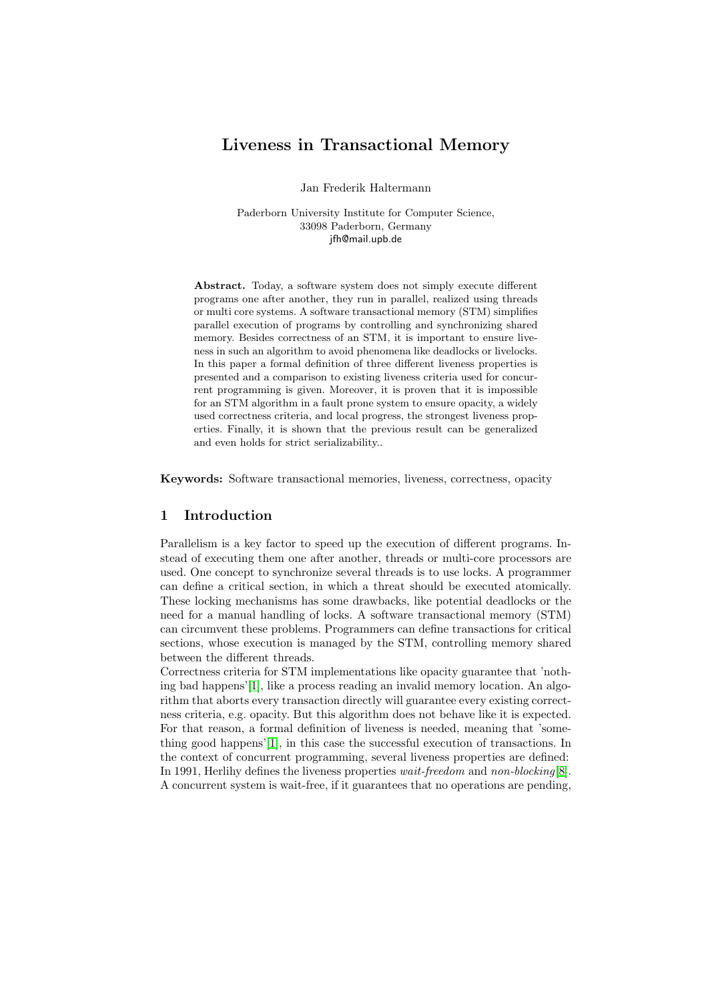# Liveness in Transactional Memory

Jan Frederik Haltermann

Paderborn University Institute for Computer Science, 33098 Paderborn, Germany jfh@mail.upb.de

Abstract. Today, a software system does not simply execute different programs one after another, they run in parallel, realized using threads or multi core systems. A software transactional memory (STM) simplifies parallel execution of programs by controlling and synchronizing shared memory. Besides correctness of an STM, it is important to ensure liveness in such an algorithm to avoid phenomena like deadlocks or livelocks. In this paper a formal definition of three different liveness properties is presented and a comparison to existing liveness criteria used for concurrent programming is given. Moreover, it is proven that it is impossible for an STM algorithm in a fault prone system to ensure opacity, a widely used correctness criteria, and local progress, the strongest liveness properties. Finally, it is shown that the previous result can be generalized and even holds for strict serializability..

Keywords: Software transactional memories, liveness, correctness, opacity

# <span id="page-0-0"></span>1 Introduction

Parallelism is a key factor to speed up the execution of different programs. Instead of executing them one after another, threads or multi-core processors are used. One concept to synchronize several threads is to use locks. A programmer can define a critical section, in which a threat should be executed atomically. These locking mechanisms has some drawbacks, like potential deadlocks or the need for a manual handling of locks. A software transactional memory (STM) can circumvent these problems. Programmers can define transactions for critical sections, whose execution is managed by the STM, controlling memory shared between the different threads.

Correctness criteria for STM implementations like opacity guarantee that 'nothing bad happens'[\[1\]](#page-9-0), like a process reading an invalid memory location. An algorithm that aborts every transaction directly will guarantee every existing correctness criteria, e.g. opacity. But this algorithm does not behave like it is expected. For that reason, a formal definition of liveness is needed, meaning that 'something good happens'[\[1\]](#page-9-0), in this case the successful execution of transactions. In the context of concurrent programming, several liveness properties are defined: In 1991, Herlihy defines the liveness properties wait-freedom and non-blocking[\[8\]](#page-9-1). A concurrent system is wait-free, if it guarantees that no operations are pending,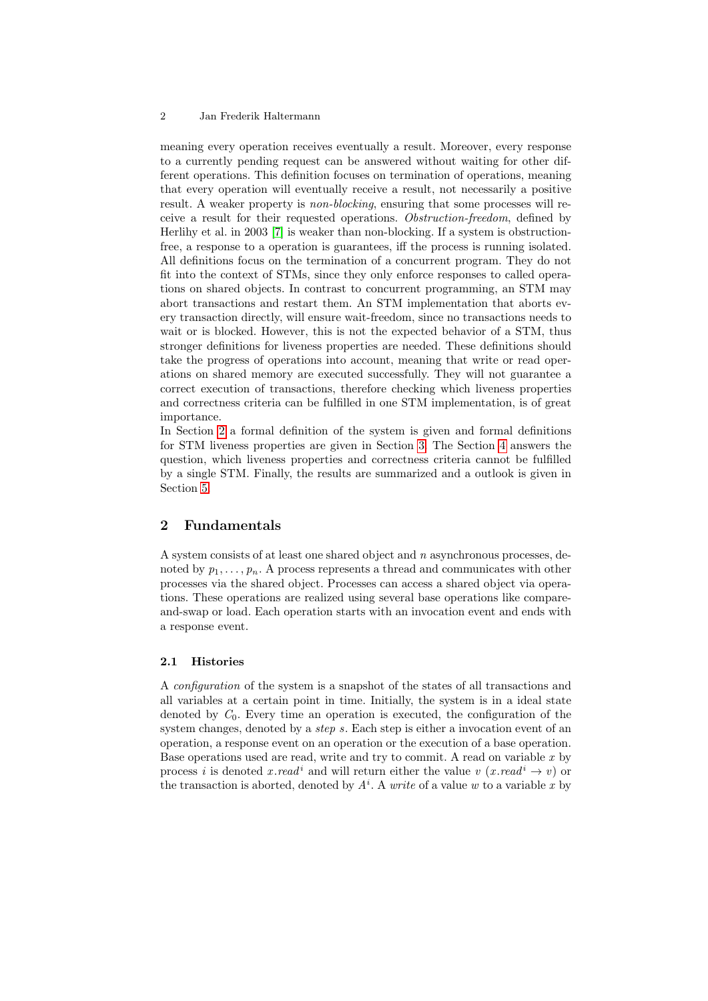meaning every operation receives eventually a result. Moreover, every response to a currently pending request can be answered without waiting for other different operations. This definition focuses on termination of operations, meaning that every operation will eventually receive a result, not necessarily a positive result. A weaker property is non-blocking, ensuring that some processes will receive a result for their requested operations. Obstruction-freedom, defined by Herlihy et al. in 2003 [\[7\]](#page-9-2) is weaker than non-blocking. If a system is obstructionfree, a response to a operation is guarantees, iff the process is running isolated. All definitions focus on the termination of a concurrent program. They do not fit into the context of STMs, since they only enforce responses to called operations on shared objects. In contrast to concurrent programming, an STM may abort transactions and restart them. An STM implementation that aborts every transaction directly, will ensure wait-freedom, since no transactions needs to wait or is blocked. However, this is not the expected behavior of a STM, thus stronger definitions for liveness properties are needed. These definitions should take the progress of operations into account, meaning that write or read operations on shared memory are executed successfully. They will not guarantee a correct execution of transactions, therefore checking which liveness properties and correctness criteria can be fulfilled in one STM implementation, is of great importance.

In Section [2](#page-1-0) a formal definition of the system is given and formal definitions for STM liveness properties are given in Section [3.](#page-3-0) The Section [4](#page-5-0) answers the question, which liveness properties and correctness criteria cannot be fulfilled by a single STM. Finally, the results are summarized and a outlook is given in Section [5.](#page-8-0)

# <span id="page-1-0"></span>2 Fundamentals

A system consists of at least one shared object and n asynchronous processes, denoted by  $p_1, \ldots, p_n$ . A process represents a thread and communicates with other processes via the shared object. Processes can access a shared object via operations. These operations are realized using several base operations like compareand-swap or load. Each operation starts with an invocation event and ends with a response event.

### 2.1 Histories

A configuration of the system is a snapshot of the states of all transactions and all variables at a certain point in time. Initially, the system is in a ideal state denoted by  $C_0$ . Every time an operation is executed, the configuration of the system changes, denoted by a *step s*. Each step is either a invocation event of an operation, a response event on an operation or the execution of a base operation. Base operations used are read, write and try to commit. A read on variable  $x$  by process i is denoted x read<sup>i</sup> and will return either the value v  $(x.read^i \rightarrow v)$  or the transaction is aborted, denoted by  $A^i$ . A *write* of a value w to a variable x by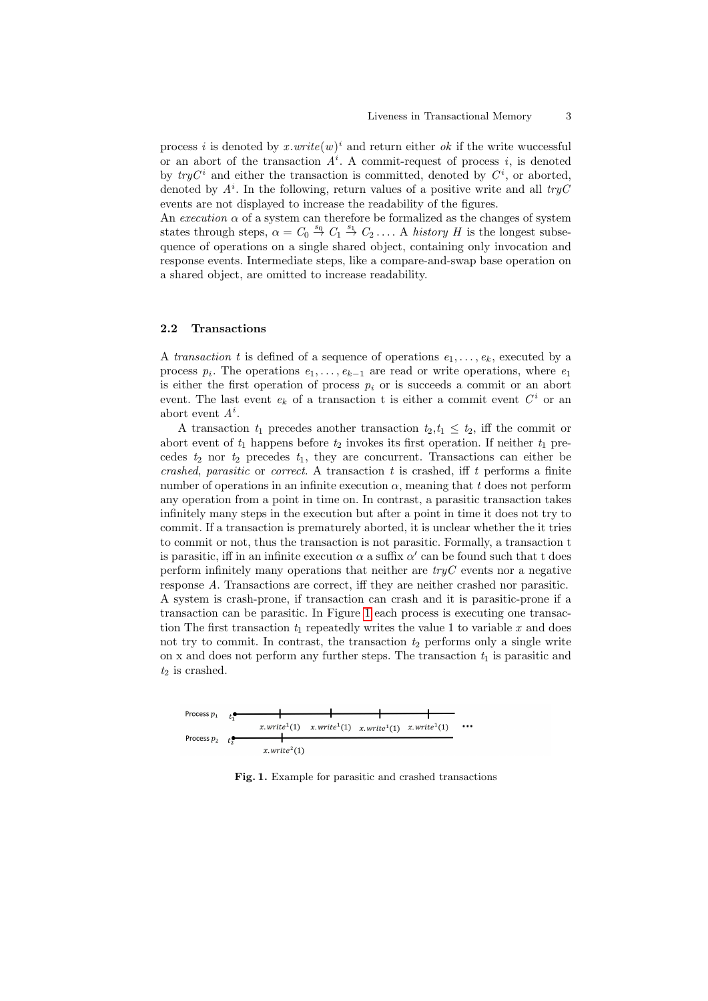process *i* is denoted by  $x.write(w)^{i}$  and return either *ok* if the write wuccessful or an abort of the transaction  $A^i$ . A commit-request of process i, is denoted by  $tryC^i$  and either the transaction is committed, denoted by  $C^i$ , or aborted, denoted by  $A^i$ . In the following, return values of a positive write and all  $tryC$ events are not displayed to increase the readability of the figures.

An execution  $\alpha$  of a system can therefore be formalized as the changes of system states through steps,  $\alpha = C_0 \stackrel{s_0}{\rightarrow} C_1 \stackrel{s_1}{\rightarrow} C_2 \ldots$ . A history H is the longest subsequence of operations on a single shared object, containing only invocation and response events. Intermediate steps, like a compare-and-swap base operation on a shared object, are omitted to increase readability.

#### 2.2 Transactions

A transaction t is defined of a sequence of operations  $e_1, \ldots, e_k$ , executed by a process  $p_i$ . The operations  $e_1, \ldots, e_{k-1}$  are read or write operations, where  $e_1$ is either the first operation of process  $p_i$  or is succeeds a commit or an abort event. The last event  $e_k$  of a transaction t is either a commit event  $C<sup>i</sup>$  or an abort event  $A^i$ .

A transaction  $t_1$  precedes another transaction  $t_2, t_1 \leq t_2$ , iff the commit or abort event of  $t_1$  happens before  $t_2$  invokes its first operation. If neither  $t_1$  precedes  $t_2$  nor  $t_2$  precedes  $t_1$ , they are concurrent. Transactions can either be crashed, parasitic or correct. A transaction  $t$  is crashed, iff  $t$  performs a finite number of operations in an infinite execution  $\alpha$ , meaning that t does not perform any operation from a point in time on. In contrast, a parasitic transaction takes infinitely many steps in the execution but after a point in time it does not try to commit. If a transaction is prematurely aborted, it is unclear whether the it tries to commit or not, thus the transaction is not parasitic. Formally, a transaction t is parasitic, iff in an infinite execution  $\alpha$  a suffix  $\alpha'$  can be found such that t does perform infinitely many operations that neither are  $tryC$  events nor a negative response A. Transactions are correct, iff they are neither crashed nor parasitic. A system is crash-prone, if transaction can crash and it is parasitic-prone if a transaction can be parasitic. In Figure [1](#page-2-0) each process is executing one transaction The first transaction  $t_1$  repeatedly writes the value 1 to variable x and does not try to commit. In contrast, the transaction  $t_2$  performs only a single write on x and does not perform any further steps. The transaction  $t_1$  is parasitic and  $t_2$  is crashed.



<span id="page-2-0"></span>Fig. 1. Example for parasitic and crashed transactions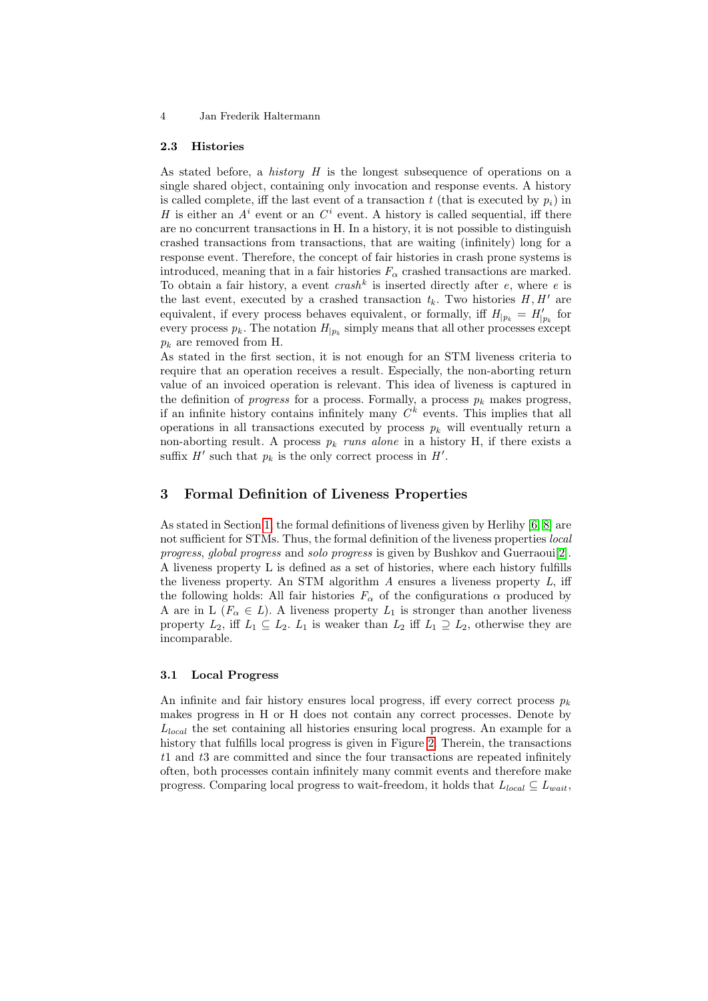### 2.3 Histories

As stated before, a *history*  $H$  is the longest subsequence of operations on a single shared object, containing only invocation and response events. A history is called complete, iff the last event of a transaction  $t$  (that is executed by  $p_i$ ) in H is either an  $A^i$  event or an  $C^i$  event. A history is called sequential, iff there are no concurrent transactions in H. In a history, it is not possible to distinguish crashed transactions from transactions, that are waiting (infinitely) long for a response event. Therefore, the concept of fair histories in crash prone systems is introduced, meaning that in a fair histories  $F_{\alpha}$  crashed transactions are marked. To obtain a fair history, a event  $crash^k$  is inserted directly after e, where e is the last event, executed by a crashed transaction  $t_k$ . Two histories  $H, H'$  are equivalent, if every process behaves equivalent, or formally, iff  $H_{|p_k} = H'_{|p_k}$  for every process  $p_k$ . The notation  $H_{|p_k}$  simply means that all other processes except  $p_k$  are removed from H.

As stated in the first section, it is not enough for an STM liveness criteria to require that an operation receives a result. Especially, the non-aborting return value of an invoiced operation is relevant. This idea of liveness is captured in the definition of *progress* for a process. Formally, a process  $p_k$  makes progress, if an infinite history contains infinitely many  $C<sup>k</sup>$  events. This implies that all operations in all transactions executed by process  $p_k$  will eventually return a non-aborting result. A process  $p_k$  runs alone in a history H, if there exists a suffix  $H'$  such that  $p_k$  is the only correct process in  $H'$ .

## <span id="page-3-0"></span>3 Formal Definition of Liveness Properties

As stated in Section [1,](#page-0-0) the formal definitions of liveness given by Herlihy [\[6,](#page-9-3) [8\]](#page-9-1) are not sufficient for STMs. Thus, the formal definition of the liveness properties local progress, global progress and solo progress is given by Bushkov and Guerraoui[\[2\]](#page-9-4). A liveness property L is defined as a set of histories, where each history fulfills the liveness property. An STM algorithm  $A$  ensures a liveness property  $L$ , iff the following holds: All fair histories  $F_{\alpha}$  of the configurations  $\alpha$  produced by A are in L ( $F_{\alpha} \in L$ ). A liveness property  $L_1$  is stronger than another liveness property  $L_2$ , iff  $L_1 \subseteq L_2$ .  $L_1$  is weaker than  $L_2$  iff  $L_1 \supseteq L_2$ , otherwise they are incomparable.

### 3.1 Local Progress

An infinite and fair history ensures local progress, iff every correct process  $p_k$ makes progress in H or H does not contain any correct processes. Denote by  $L_{local}$  the set containing all histories ensuring local progress. An example for a history that fulfills local progress is given in Figure [2.](#page-4-0) Therein, the transactions t1 and t3 are committed and since the four transactions are repeated infinitely often, both processes contain infinitely many commit events and therefore make progress. Comparing local progress to wait-freedom, it holds that  $L_{local} \subseteq L_{wait}$ ,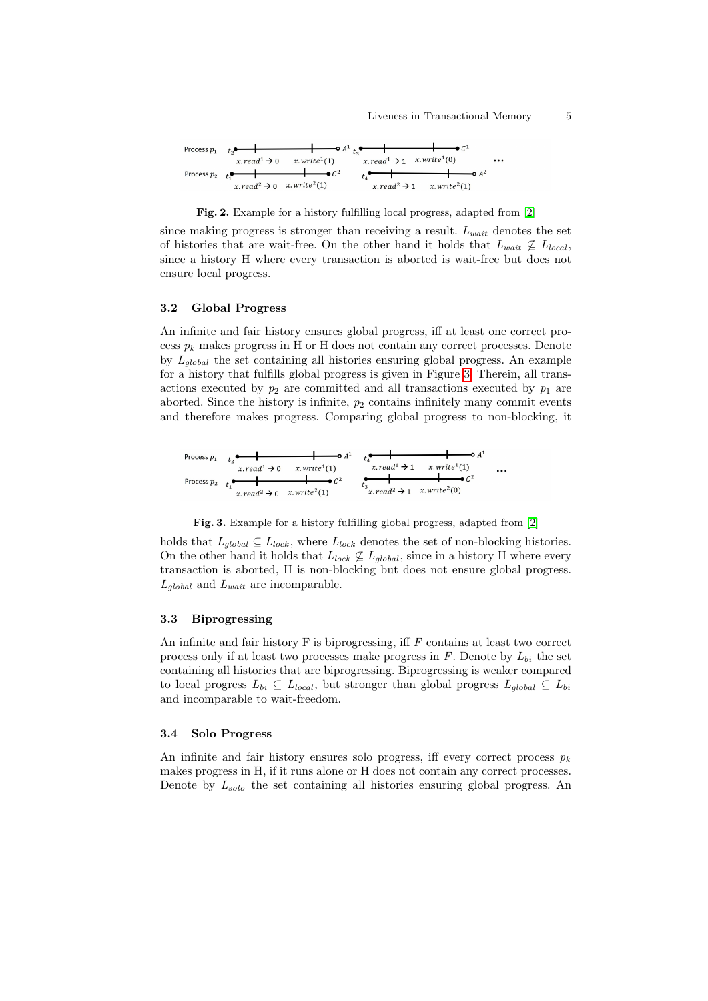#### Liveness in Transactional Memory 5

| \n $\text{Process } p_1$ \n | \n $t_2$ \n | \n $\text{or } x$ \n | \n $\text{or } A^1$ \n | \n $t_3$ \n | \n $t_4$ \n | \n $t_5$ \n |             |             |             |             |             |             |             |             |             |             |             |             |             |             |             |             |             |             |             |             |             |             |             |             |             |             |             |             |             |             |             |            |
|-----------------------------|-------------|----------------------|------------------------|-------------|-------------|-------------|-------------|-------------|-------------|-------------|-------------|-------------|-------------|-------------|-------------|-------------|-------------|-------------|-------------|-------------|-------------|-------------|-------------|-------------|-------------|-------------|-------------|-------------|-------------|-------------|-------------|-------------|-------------|-------------|-------------|-------------|-------------|------------|
| \n $\text{Process } p_2$ \n | \n $t_1$ \n | \n $t_2$ \n          | \n $t_4$ \n            | \n $t_4$ \n | \n $t_4$ \n | \n $t_4$ \n | \n $t_4$ \n | \n $t_4$ \n | \n $t_4$ \n | \n $t_4$ \n | \n $t_4$ \n | \n $t_4$ \n | \n $t_4$ \n | \n $t_4$ \n | \n $t_4$ \n | \n $t_4$ \n | \n $t_4$ \n | \n $t_4$ \n | \n $t_4$ \n | \n $t_4$ \n | \n $t_4$ \n | \n $t_4$ \n | \n $t_4$ \n | \n $t_4$ \n | \n $t_4$ \n | \n $t_4$ \n | \n $t_4$ \n | \n $t_4$ \n | \n $t_4$ \n | \n $t_4$ \n | \n $t_4$ \n | \n $t_4$ \n | \n $t_4$ \n | \n $t_4$ \n | \n $t_4$ \n | \n $t_4$ \n | \n $t_4$ \n | \n $t_4$ \ |

<span id="page-4-0"></span>Fig. 2. Example for a history fulfilling local progress, adapted from [\[2\]](#page-9-4)

since making progress is stronger than receiving a result.  $L_{wait}$  denotes the set of histories that are wait-free. On the other hand it holds that  $L_{wait} \nsubseteq L_{local}$ , since a history H where every transaction is aborted is wait-free but does not ensure local progress.

### 3.2 Global Progress

An infinite and fair history ensures global progress, iff at least one correct process  $p_k$  makes progress in H or H does not contain any correct processes. Denote by  $L_{alobal}$  the set containing all histories ensuring global progress. An example for a history that fulfills global progress is given in Figure [3.](#page-4-1) Therein, all transactions executed by  $p_2$  are committed and all transactions executed by  $p_1$  are aborted. Since the history is infinite,  $p_2$  contains infinitely many commit events and therefore makes progress. Comparing global progress to non-blocking, it

| Process $p_1$                          | $t_2$                       | •                                      | •                           | •                                        | •                           |                                        |                             |                                        |                             |
|----------------------------------------|-----------------------------|----------------------------------------|-----------------------------|------------------------------------------|-----------------------------|----------------------------------------|-----------------------------|----------------------------------------|-----------------------------|
| $x$ .read <sup>1</sup> $\rightarrow$ 0 | $x$ .write <sup>1</sup> (1) | $x$ .read <sup>1</sup> $\rightarrow$ 1 | $x$ .write <sup>1</sup> (1) | $x$ .create <sup>1</sup> $\rightarrow$ 1 | $x$ .write <sup>1</sup> (1) | $x$ .read <sup>2</sup> $\rightarrow$ 0 | $x$ .write <sup>2</sup> (0) | $x$ .read <sup>2</sup> $\rightarrow$ 1 | $x$ .write <sup>2</sup> (0) |

<span id="page-4-1"></span>Fig. 3. Example for a history fulfilling global progress, adapted from [\[2\]](#page-9-4)

holds that  $L_{global} \subseteq L_{lock}$ , where  $L_{lock}$  denotes the set of non-blocking histories. On the other hand it holds that  $L_{lock} \nsubseteq L_{global}$ , since in a history H where every transaction is aborted, H is non-blocking but does not ensure global progress.  $L_{global}$  and  $L_{wait}$  are incomparable.

### 3.3 Biprogressing

An infinite and fair history  $F$  is biprogressing, iff  $F$  contains at least two correct process only if at least two processes make progress in  $F$ . Denote by  $L_{bi}$  the set containing all histories that are biprogressing. Biprogressing is weaker compared to local progress  $L_{bi} \subseteq L_{local}$ , but stronger than global progress  $L_{global} \subseteq L_{bi}$ and incomparable to wait-freedom.

### 3.4 Solo Progress

An infinite and fair history ensures solo progress, iff every correct process  $p_k$ makes progress in H, if it runs alone or H does not contain any correct processes. Denote by  $L_{solo}$  the set containing all histories ensuring global progress. An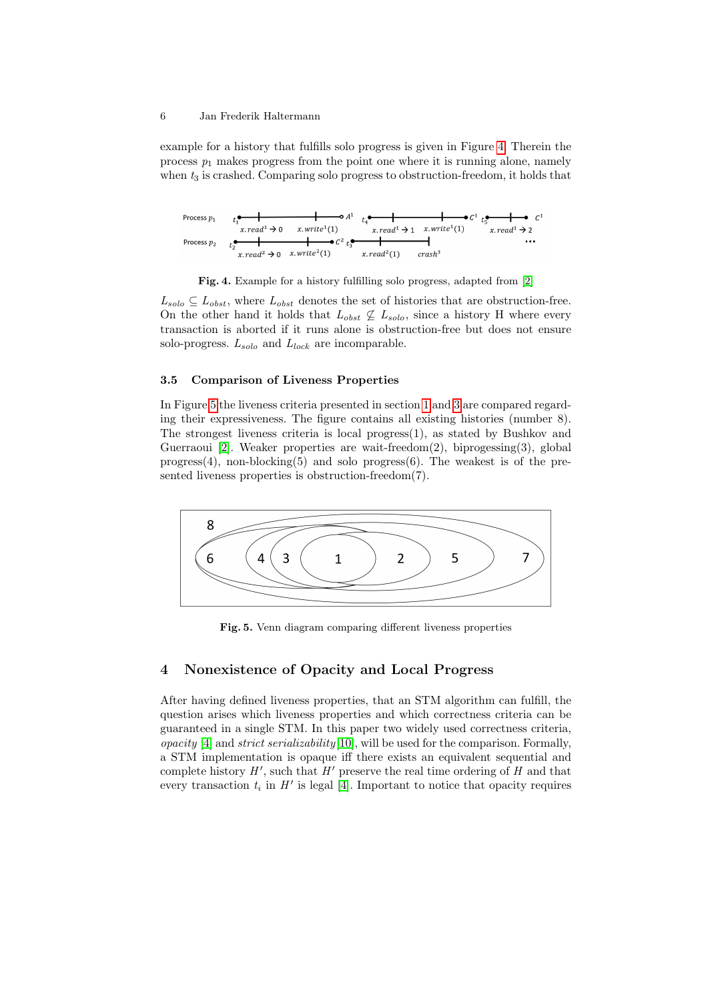example for a history that fulfills solo progress is given in Figure [4.](#page-5-1) Therein the process  $p_1$  makes progress from the point one where it is running alone, namely when  $t_3$  is crashed. Comparing solo progress to obstruction-freedom, it holds that

| Process $p_1$                | $t_1^{\bullet}$       | $t_2^{\bullet}$               | $t_3^{\bullet}$                 | $t_4^{\bullet}$              |                               |                              |                              |
|------------------------------|-----------------------|-------------------------------|---------------------------------|------------------------------|-------------------------------|------------------------------|------------------------------|
| Process $p_2$                | $t_2^{\bullet}$       | 1                             | $x$ . $real^1 \rightarrow 0$    | $x$ . $real^1 \rightarrow 1$ | $x$ . $real^1 \rightarrow 1$  | $x$ . $real^1 \rightarrow 1$ | $x$ . $real^1 \rightarrow 2$ |
| Process $p_2$                | $t_2^{\bullet}$       | 1                             | $\bullet$ $C^2$ $t_3^{\bullet}$ | 1                            | $\bullet$ $\bullet$ $\bullet$ |                              |                              |
| $x$ . $real^2 \rightarrow 0$ | $x$ . $w$ $real^2(1)$ | $\bullet$ $\bullet$ $\bullet$ | $\bullet$                       | $\bullet$                    |                               |                              |                              |

<span id="page-5-1"></span>

 $L_{solo} \subseteq L_{obst}$ , where  $L_{obst}$  denotes the set of histories that are obstruction-free. On the other hand it holds that  $L_{obst} \not\subseteq L_{solo}$ , since a history H where every transaction is aborted if it runs alone is obstruction-free but does not ensure solo-progress.  $L_{solo}$  and  $L_{lock}$  are incomparable.

### 3.5 Comparison of Liveness Properties

In Figure [5](#page-5-2) the liveness criteria presented in section [1](#page-0-0) and [3](#page-3-0) are compared regarding their expressiveness. The figure contains all existing histories (number 8). The strongest liveness criteria is local progress $(1)$ , as stated by Bushkov and Guerraoui [\[2\]](#page-9-4). Weaker properties are wait-freedom(2), biprogessing(3), global  $progress(4)$ , non-blocking(5) and solo progress $(6)$ . The weakest is of the presented liveness properties is obstruction-freedom(7).



<span id="page-5-2"></span>Fig. 5. Venn diagram comparing different liveness properties

# <span id="page-5-0"></span>4 Nonexistence of Opacity and Local Progress

After having defined liveness properties, that an STM algorithm can fulfill, the question arises which liveness properties and which correctness criteria can be guaranteed in a single STM. In this paper two widely used correctness criteria, *opacity* [\[4\]](#page-9-5) and *strict serializability* [\[10\]](#page-9-6), will be used for the comparison. Formally, a STM implementation is opaque iff there exists an equivalent sequential and complete history  $H'$ , such that  $H'$  preserve the real time ordering of  $H$  and that every transaction  $t_i$  in  $H'$  is legal [\[4\]](#page-9-5). Important to notice that opacity requires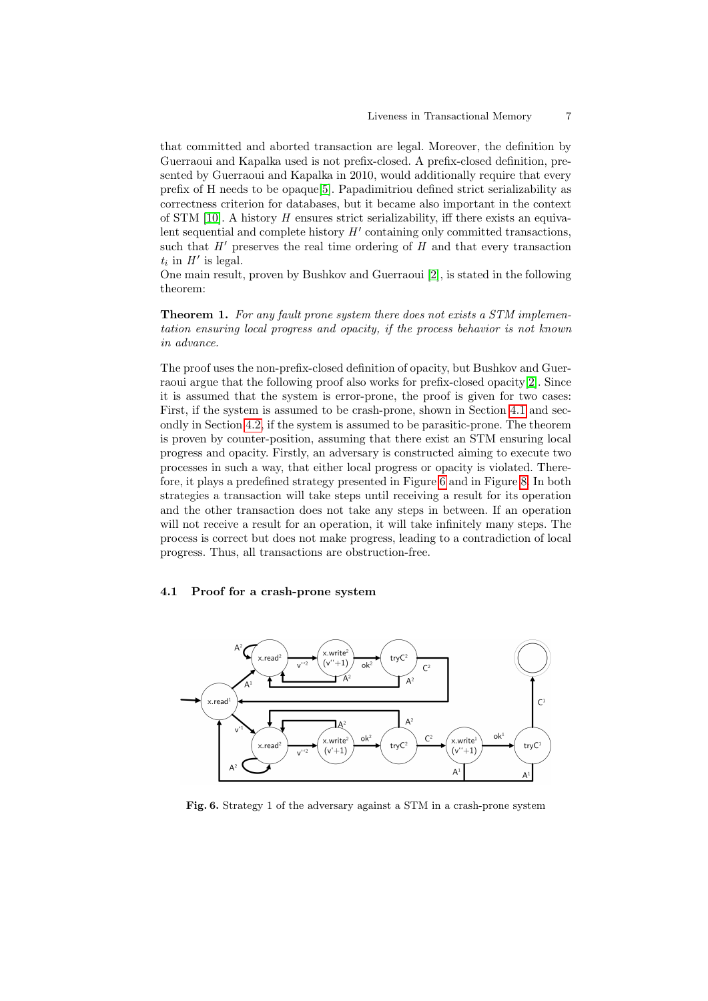that committed and aborted transaction are legal. Moreover, the definition by Guerraoui and Kapalka used is not prefix-closed. A prefix-closed definition, presented by Guerraoui and Kapalka in 2010, would additionally require that every prefix of H needs to be opaque[\[5\]](#page-9-7). Papadimitriou defined strict serializability as correctness criterion for databases, but it became also important in the context of STM  $[10]$ . A history  $H$  ensures strict serializability, iff there exists an equivalent sequential and complete history  $H'$  containing only committed transactions, such that  $H'$  preserves the real time ordering of H and that every transaction  $t_i$  in  $H'$  is legal.

One main result, proven by Bushkov and Guerraoui [\[2\]](#page-9-4), is stated in the following theorem:

**Theorem 1.** For any fault prone system there does not exists a STM implementation ensuring local progress and opacity, if the process behavior is not known in advance.

The proof uses the non-prefix-closed definition of opacity, but Bushkov and Guerraoui argue that the following proof also works for prefix-closed opacity[\[2\]](#page-9-4). Since it is assumed that the system is error-prone, the proof is given for two cases: First, if the system is assumed to be crash-prone, shown in Section [4.1](#page-6-0) and secondly in Section [4.2,](#page-7-0) if the system is assumed to be parasitic-prone. The theorem is proven by counter-position, assuming that there exist an STM ensuring local progress and opacity. Firstly, an adversary is constructed aiming to execute two processes in such a way, that either local progress or opacity is violated. Therefore, it plays a predefined strategy presented in Figure [6](#page-6-1) and in Figure [8.](#page-8-1) In both strategies a transaction will take steps until receiving a result for its operation and the other transaction does not take any steps in between. If an operation will not receive a result for an operation, it will take infinitely many steps. The process is correct but does not make progress, leading to a contradiction of local progress. Thus, all transactions are obstruction-free.

### <span id="page-6-0"></span>4.1 Proof for a crash-prone system



<span id="page-6-1"></span>Fig. 6. Strategy 1 of the adversary against a STM in a crash-prone system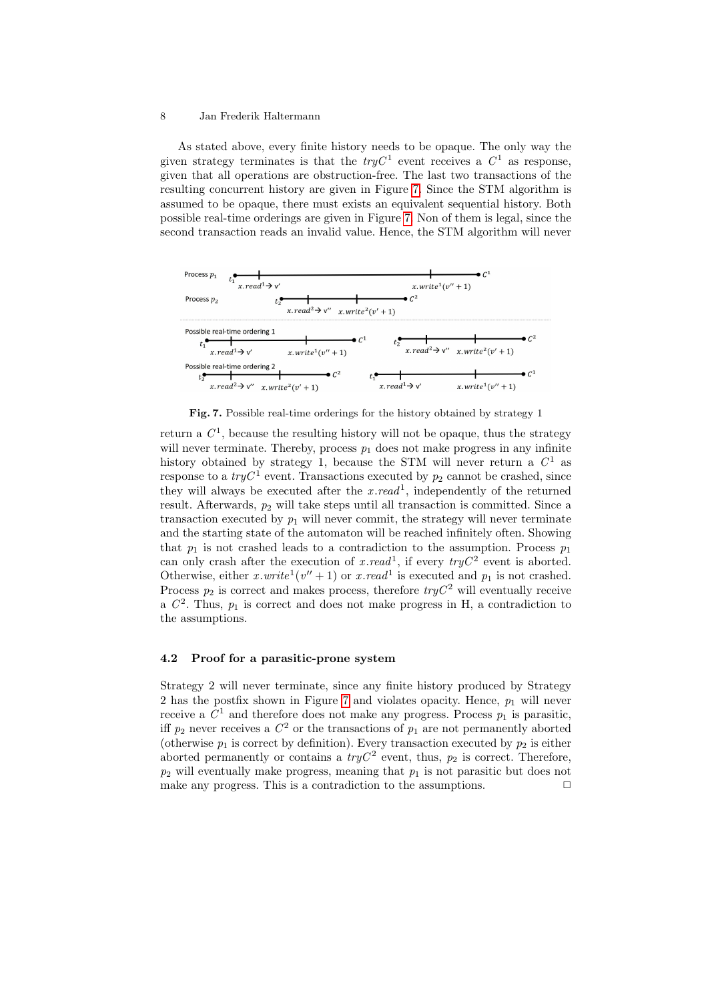As stated above, every finite history needs to be opaque. The only way the given strategy terminates is that the  $tryC^1$  event receives a  $C^1$  as response, given that all operations are obstruction-free. The last two transactions of the resulting concurrent history are given in Figure [7.](#page-7-1) Since the STM algorithm is assumed to be opaque, there must exists an equivalent sequential history. Both possible real-time orderings are given in Figure [7.](#page-7-1) Non of them is legal, since the second transaction reads an invalid value. Hence, the STM algorithm will never



<span id="page-7-1"></span>Fig. 7. Possible real-time orderings for the history obtained by strategy 1

return a  $C^1$ , because the resulting history will not be opaque, thus the strategy will never terminate. Thereby, process  $p_1$  does not make progress in any infinite history obtained by strategy 1, because the STM will never return a  $C^1$  as response to a  $tryC^1$  event. Transactions executed by  $p_2$  cannot be crashed, since they will always be executed after the  $x.read^1$ , independently of the returned result. Afterwards,  $p_2$  will take steps until all transaction is committed. Since a transaction executed by  $p_1$  will never commit, the strategy will never terminate and the starting state of the automaton will be reached infinitely often. Showing that  $p_1$  is not crashed leads to a contradiction to the assumption. Process  $p_1$ can only crash after the execution of x.read<sup>1</sup>, if every  $tryC^2$  event is aborted. Otherwise, either x.write<sup>1</sup>( $v'' + 1$ ) or x.read<sup>1</sup> is executed and  $p_1$  is not crashed. Process  $p_2$  is correct and makes process, therefore  $tryC^2$  will eventually receive a  $C<sup>2</sup>$ . Thus,  $p<sub>1</sub>$  is correct and does not make progress in H, a contradiction to the assumptions.

### <span id="page-7-0"></span>4.2 Proof for a parasitic-prone system

Strategy 2 will never terminate, since any finite history produced by Strategy 2 has the postfix shown in Figure [7](#page-7-1) and violates opacity. Hence,  $p_1$  will never receive a  $C^1$  and therefore does not make any progress. Process  $p_1$  is parasitic, iff  $p_2$  never receives a  $C^2$  or the transactions of  $p_1$  are not permanently aborted (otherwise  $p_1$  is correct by definition). Every transaction executed by  $p_2$  is either aborted permanently or contains a  $tryC^2$  event, thus,  $p_2$  is correct. Therefore,  $p_2$  will eventually make progress, meaning that  $p_1$  is not parasitic but does not make any progress. This is a contradiction to the assumptions.  $\Box$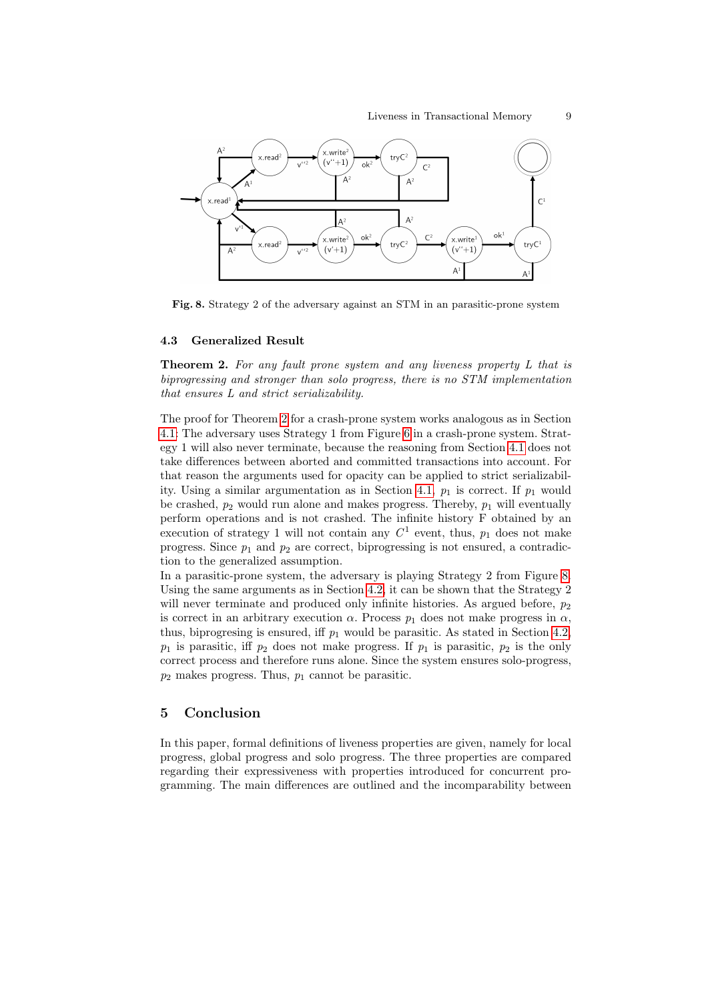

<span id="page-8-1"></span>Fig. 8. Strategy 2 of the adversary against an STM in an parasitic-prone system

### <span id="page-8-3"></span>4.3 Generalized Result

<span id="page-8-2"></span>**Theorem 2.** For any fault prone system and any liveness property L that is biprogressing and stronger than solo progress, there is no STM implementation that ensures L and strict serializability.

The proof for Theorem [2](#page-8-2) for a crash-prone system works analogous as in Section [4.1:](#page-6-0) The adversary uses Strategy 1 from Figure [6](#page-6-1) in a crash-prone system. Strategy 1 will also never terminate, because the reasoning from Section [4.1](#page-6-0) does not take differences between aborted and committed transactions into account. For that reason the arguments used for opacity can be applied to strict serializabil-ity. Using a similar argumentation as in Section [4.1,](#page-6-0)  $p_1$  is correct. If  $p_1$  would be crashed,  $p_2$  would run alone and makes progress. Thereby,  $p_1$  will eventually perform operations and is not crashed. The infinite history F obtained by an execution of strategy 1 will not contain any  $C^1$  event, thus,  $p_1$  does not make progress. Since  $p_1$  and  $p_2$  are correct, biprogressing is not ensured, a contradiction to the generalized assumption.

In a parasitic-prone system, the adversary is playing Strategy 2 from Figure [8.](#page-8-1) Using the same arguments as in Section [4.2,](#page-7-0) it can be shown that the Strategy 2 will never terminate and produced only infinite histories. As argued before,  $p_2$ is correct in an arbitrary execution  $\alpha$ . Process  $p_1$  does not make progress in  $\alpha$ , thus, biprogresing is ensured, iff  $p_1$  would be parasitic. As stated in Section [4.2,](#page-7-0)  $p_1$  is parasitic, iff  $p_2$  does not make progress. If  $p_1$  is parasitic,  $p_2$  is the only correct process and therefore runs alone. Since the system ensures solo-progress,  $p_2$  makes progress. Thus,  $p_1$  cannot be parasitic.

## <span id="page-8-0"></span>5 Conclusion

In this paper, formal definitions of liveness properties are given, namely for local progress, global progress and solo progress. The three properties are compared regarding their expressiveness with properties introduced for concurrent programming. The main differences are outlined and the incomparability between